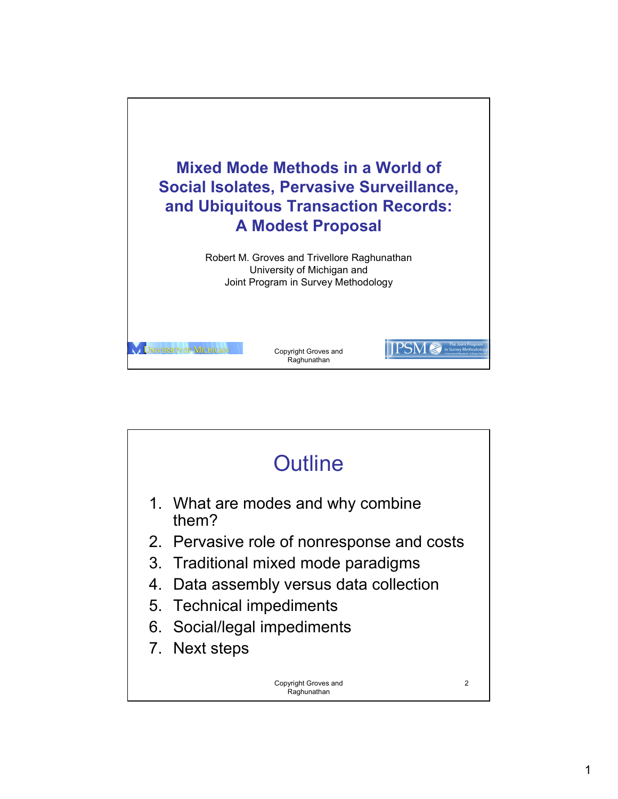

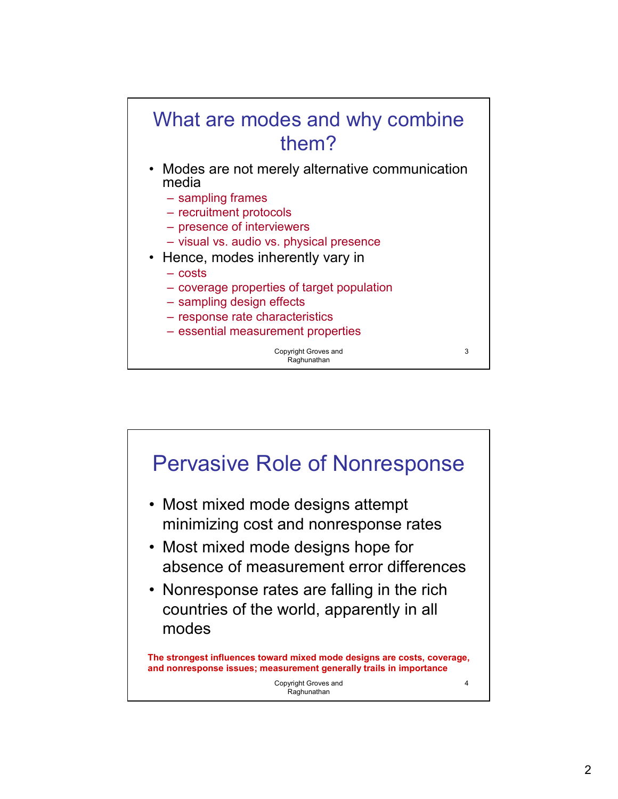

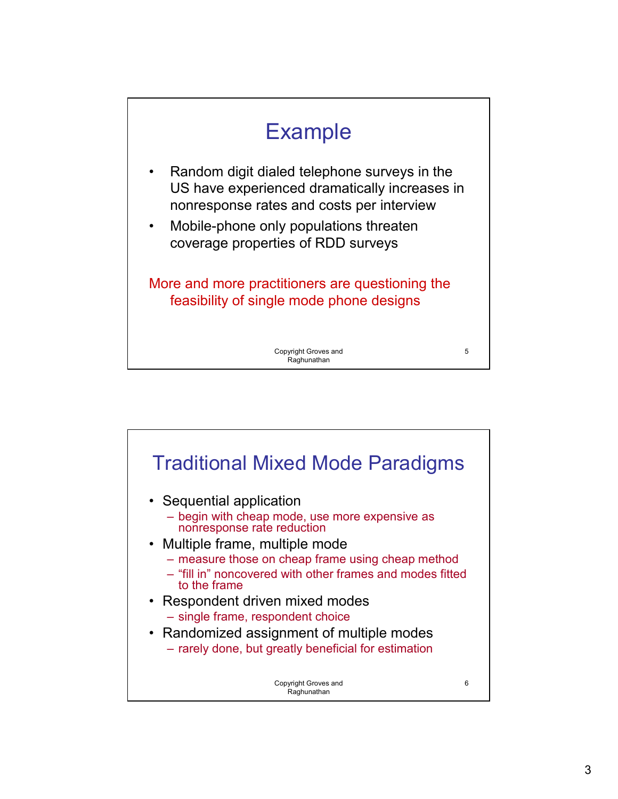

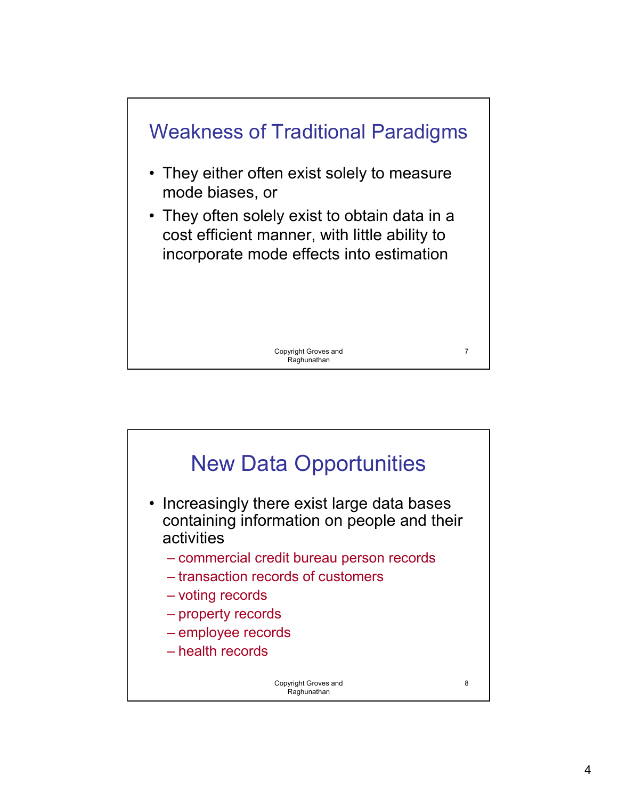

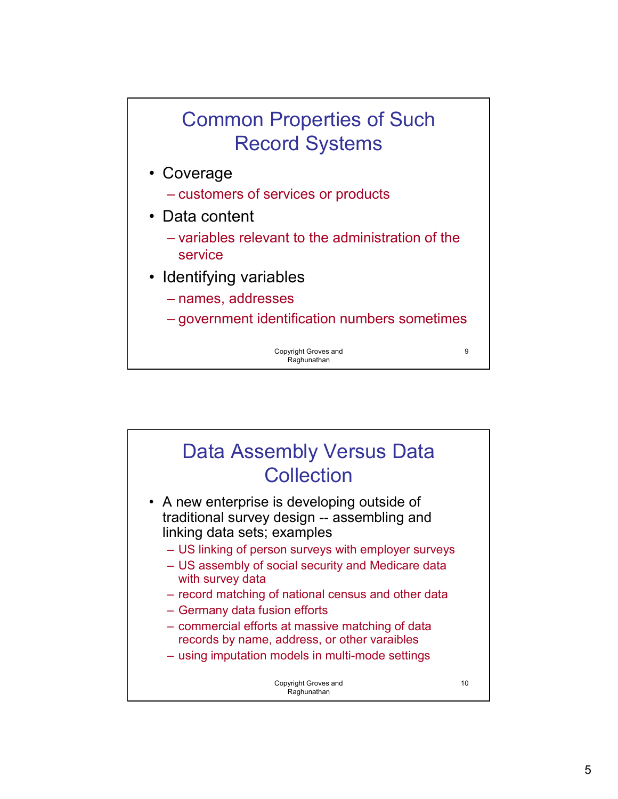## Common Properties of Such Record Systems

- Coverage
	- customers of services or products
- Data content
	- variables relevant to the administration of the service
- Identifying variables
	- names, addresses
	- government identification numbers sometimes

Copyright Groves and Raghunathan

9

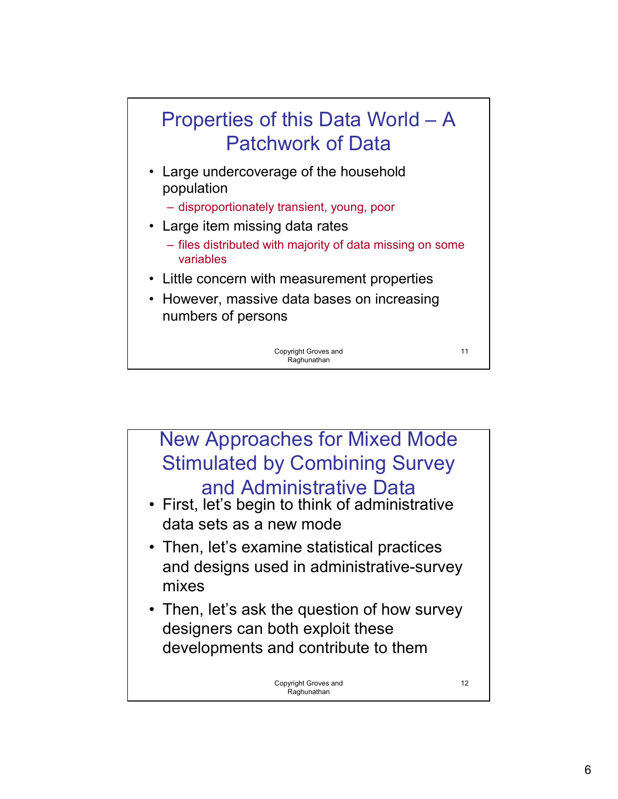

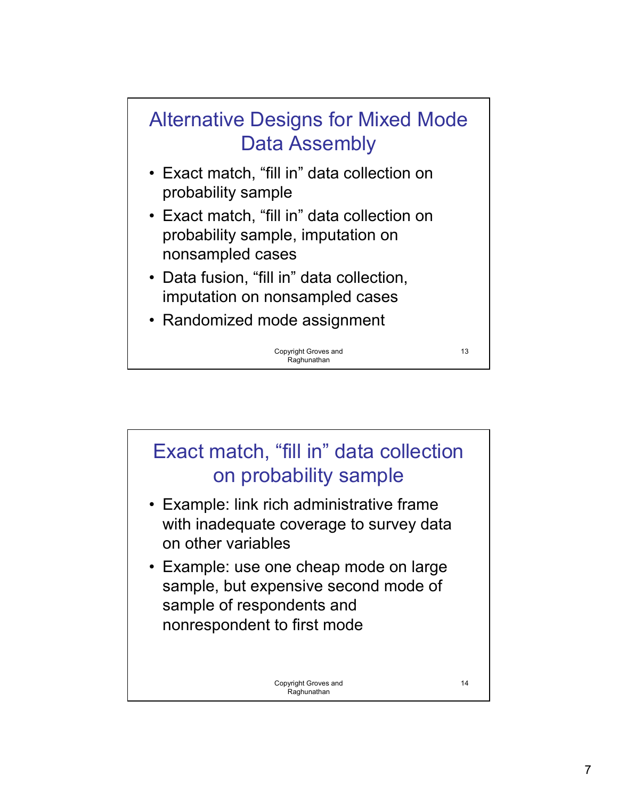

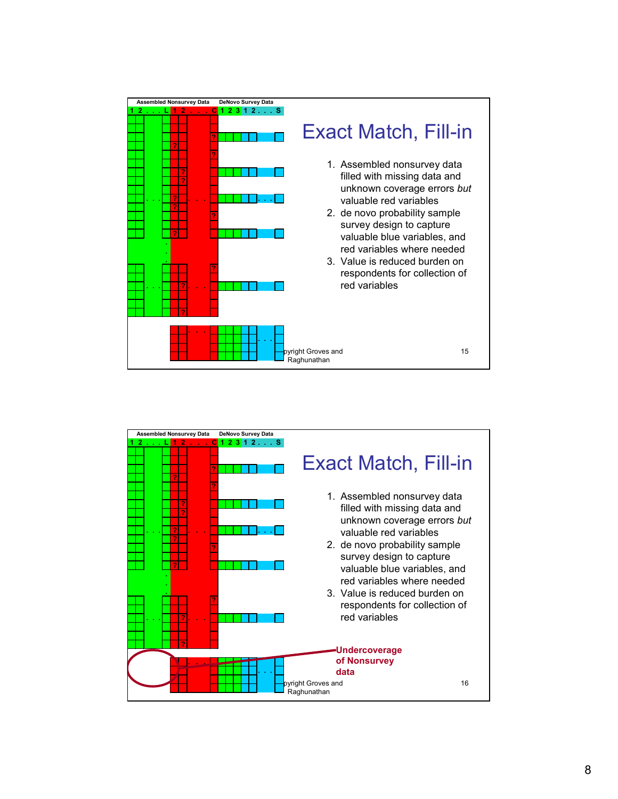

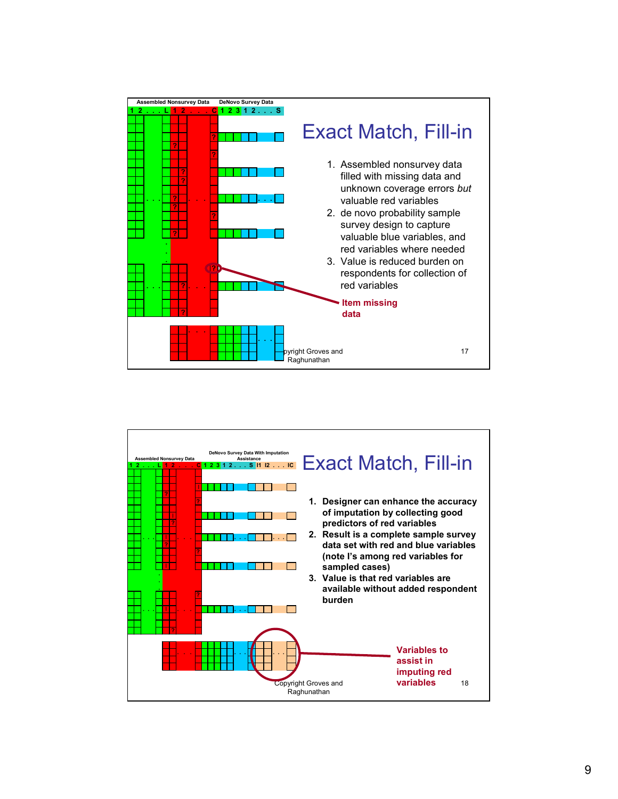

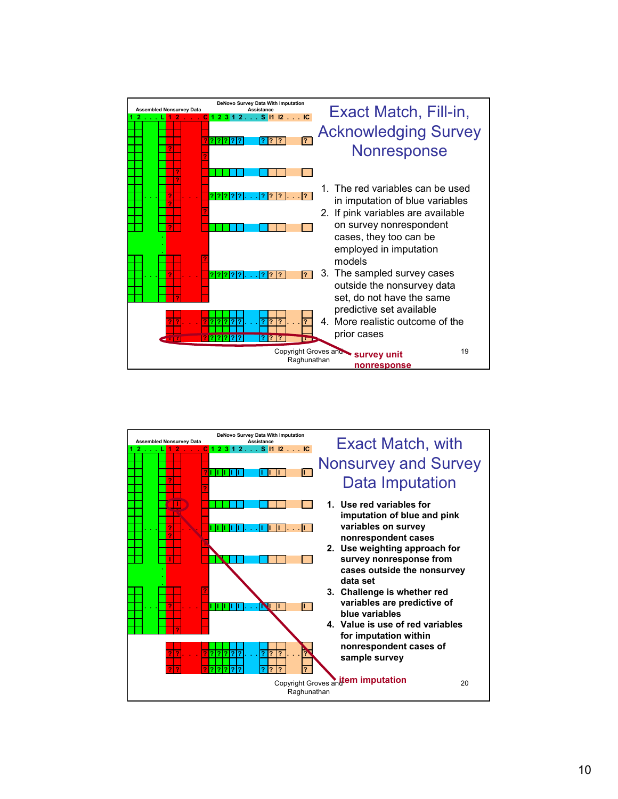

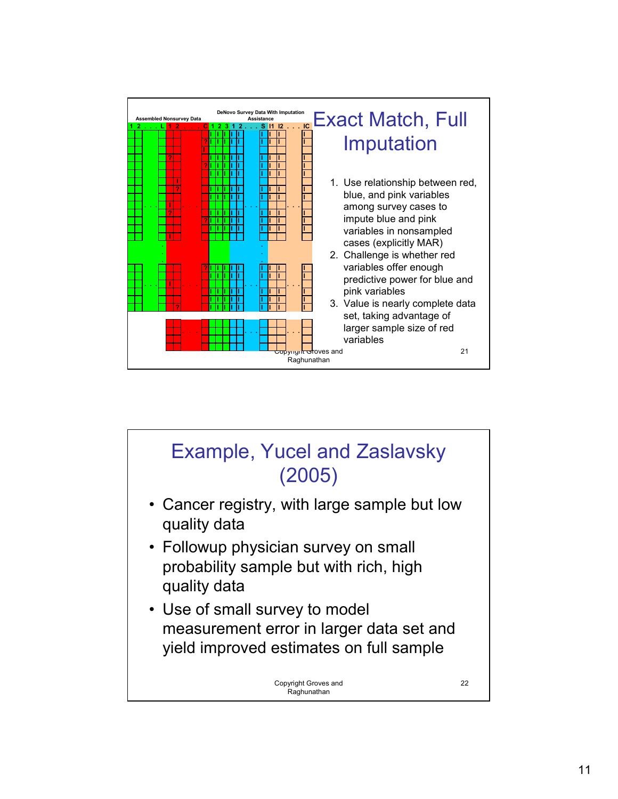

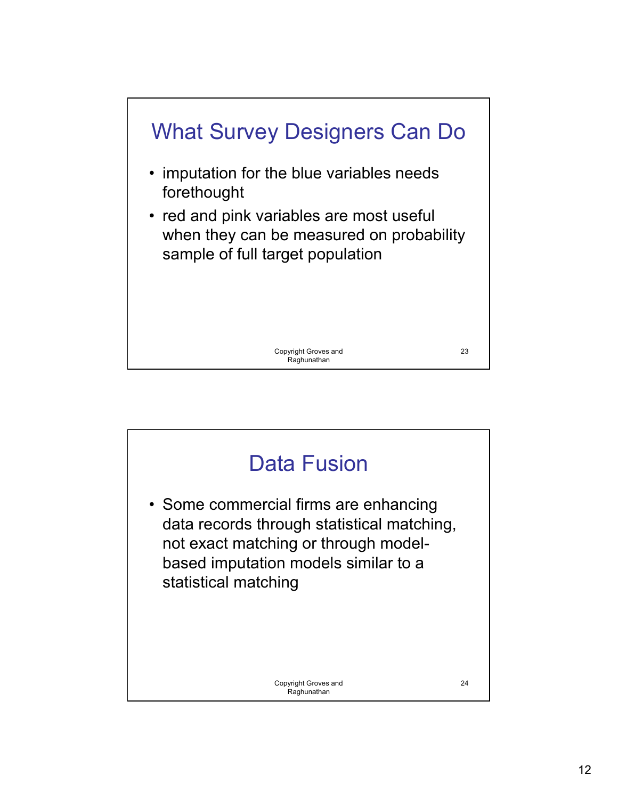

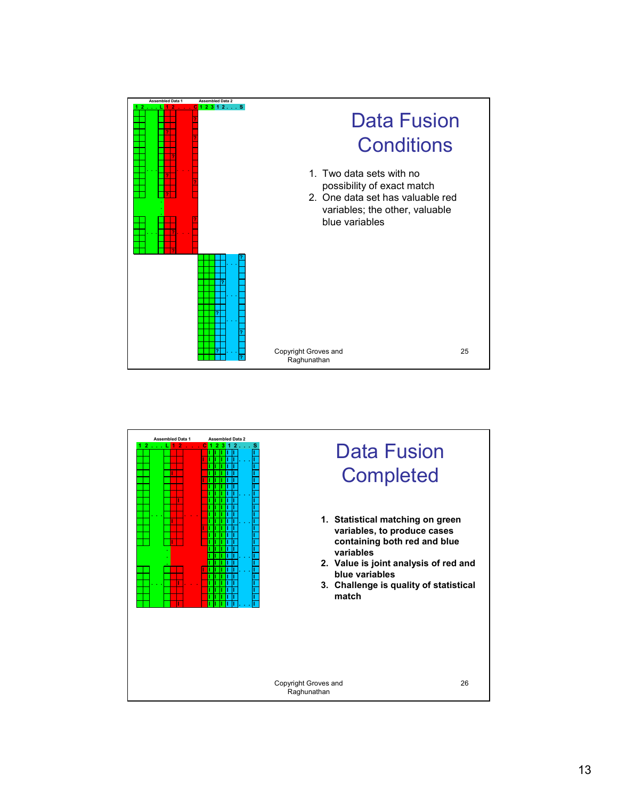

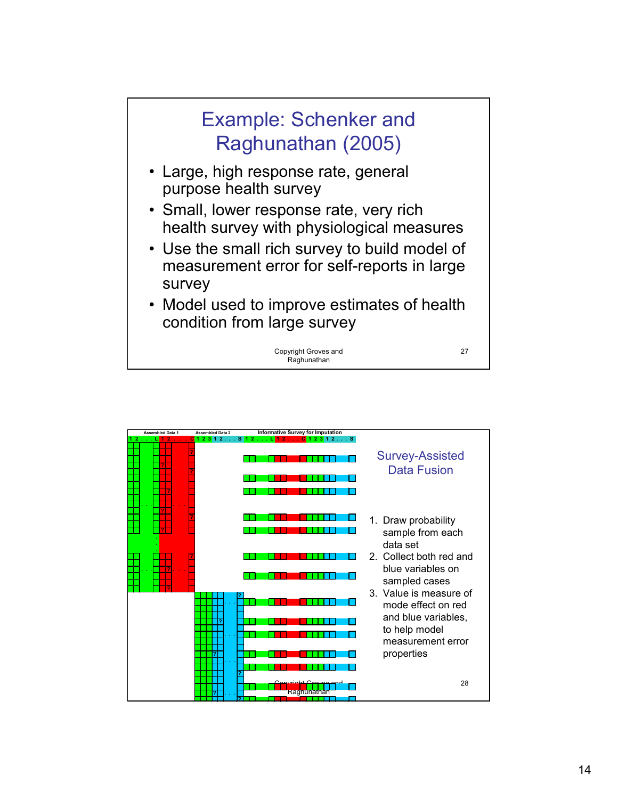

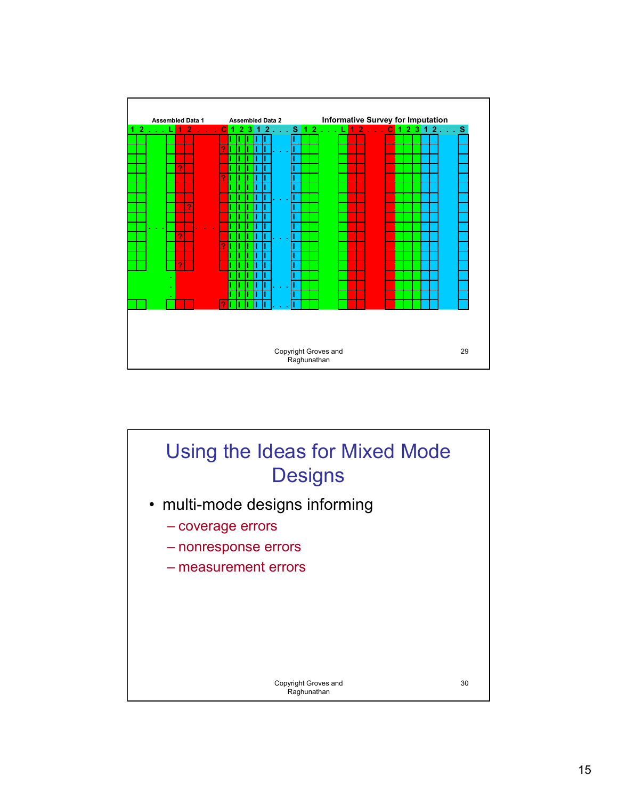

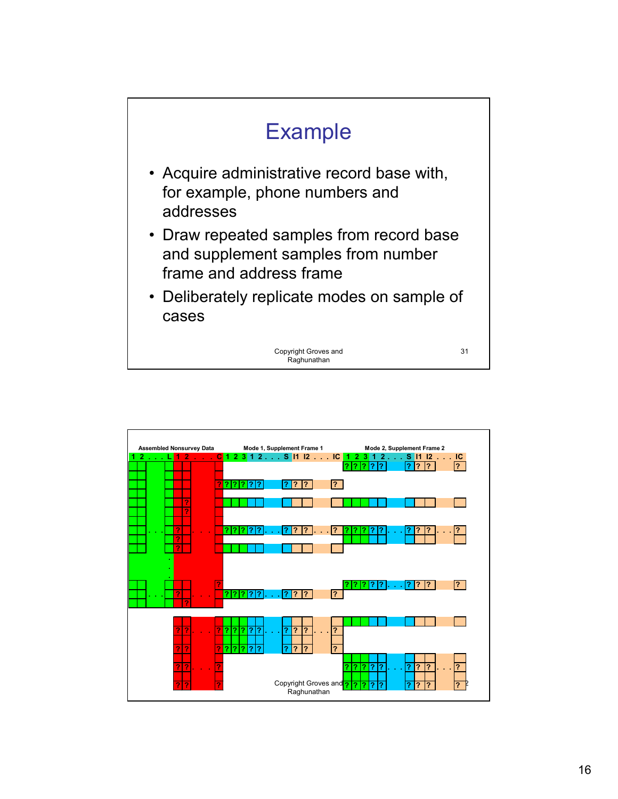

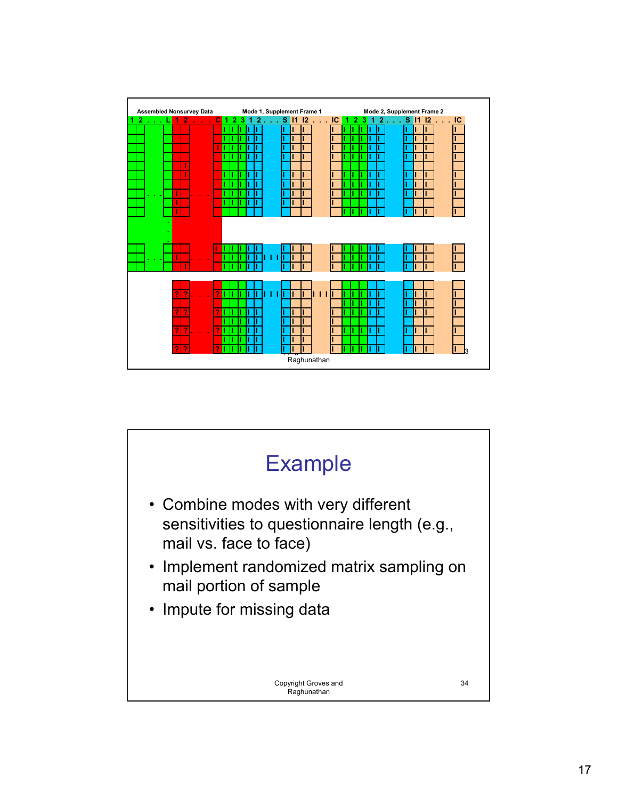| <b>Assembled Nonsurvey Data</b> |   |     |   |   |     |  |        | Mode 1, Supplement Frame 1 |             |    |   |                                | Mode 2, Supplement Frame 2 |                |         |                 |
|---------------------------------|---|-----|---|---|-----|--|--------|----------------------------|-------------|----|---|--------------------------------|----------------------------|----------------|---------|-----------------|
| 21                              |   | 120 |   | 1 | 231 |  | 2.11   | S 11 12                    |             | IC | 1 | $\mathbf{2}$<br>3 <sup>1</sup> |                            | $1, 2, \ldots$ | S 11 12 | $\therefore$ IC |
|                                 |   |     |   |   |     |  |        |                            |             |    |   |                                |                            |                |         |                 |
|                                 |   |     |   |   |     |  |        |                            |             |    |   |                                |                            |                |         |                 |
|                                 |   |     |   |   |     |  |        |                            |             |    |   |                                |                            |                |         |                 |
|                                 |   |     |   |   |     |  |        |                            |             |    |   |                                |                            |                |         |                 |
|                                 |   |     |   |   |     |  |        |                            |             |    |   |                                |                            |                |         |                 |
|                                 | I |     |   |   |     |  |        |                            |             |    |   |                                |                            |                |         |                 |
|                                 |   |     |   |   |     |  |        |                            |             |    |   |                                |                            |                |         |                 |
| ×                               |   |     |   |   |     |  |        |                            |             |    |   |                                |                            |                |         |                 |
|                                 |   |     |   |   |     |  |        |                            |             |    |   |                                |                            |                |         |                 |
|                                 |   |     |   |   |     |  |        |                            |             |    |   |                                |                            |                |         |                 |
|                                 |   |     |   |   |     |  |        |                            |             |    |   |                                |                            |                |         |                 |
|                                 |   |     |   |   |     |  |        |                            |             |    |   |                                |                            |                |         |                 |
|                                 |   |     |   |   |     |  |        |                            |             |    |   |                                |                            |                |         |                 |
|                                 |   |     |   |   |     |  |        |                            |             |    |   |                                |                            |                |         |                 |
|                                 |   |     |   |   |     |  |        |                            |             |    |   |                                |                            |                |         |                 |
|                                 |   |     |   |   |     |  |        |                            |             |    |   |                                |                            |                |         |                 |
|                                 | 7 |     | 7 |   |     |  | т<br>ı | п                          | 111         |    |   |                                |                            |                |         |                 |
|                                 |   |     |   |   |     |  |        |                            |             |    |   |                                |                            |                |         |                 |
|                                 | 2 |     | 7 |   |     |  |        |                            |             |    |   |                                |                            |                |         |                 |
|                                 |   |     |   |   |     |  |        |                            |             |    |   |                                |                            |                |         |                 |
|                                 | 2 |     | 7 |   |     |  |        |                            |             |    |   |                                |                            |                |         |                 |
|                                 | 2 |     | 2 |   |     |  |        |                            |             |    |   |                                |                            |                |         |                 |
|                                 | 2 |     |   |   |     |  |        |                            | Raghunathan |    |   |                                |                            |                |         |                 |

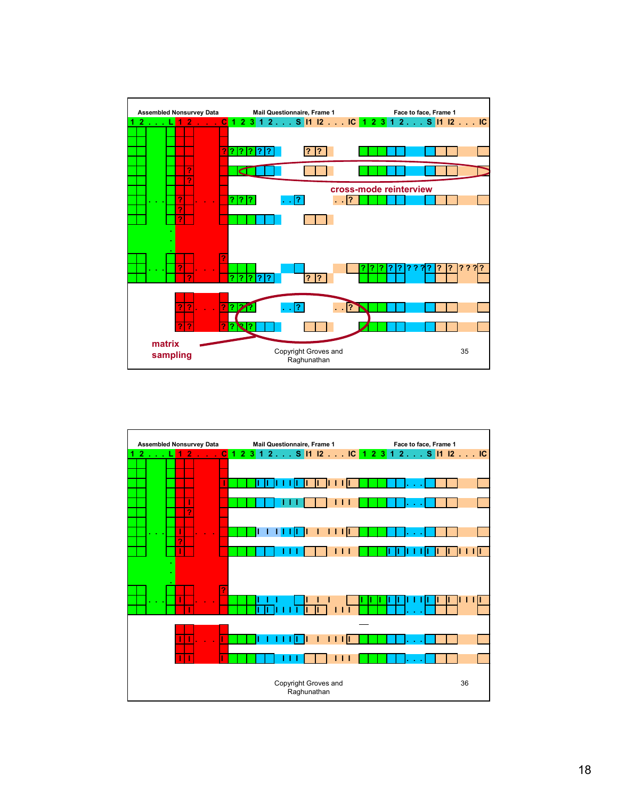

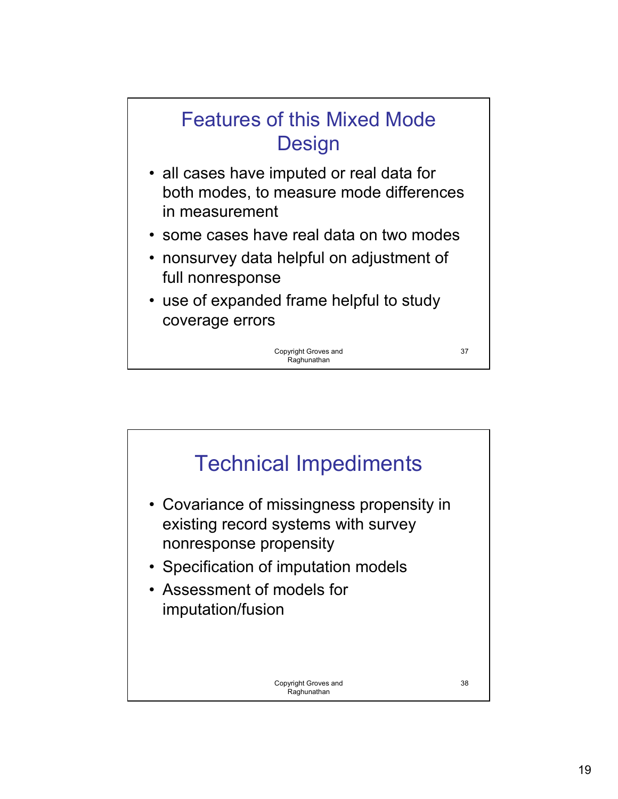

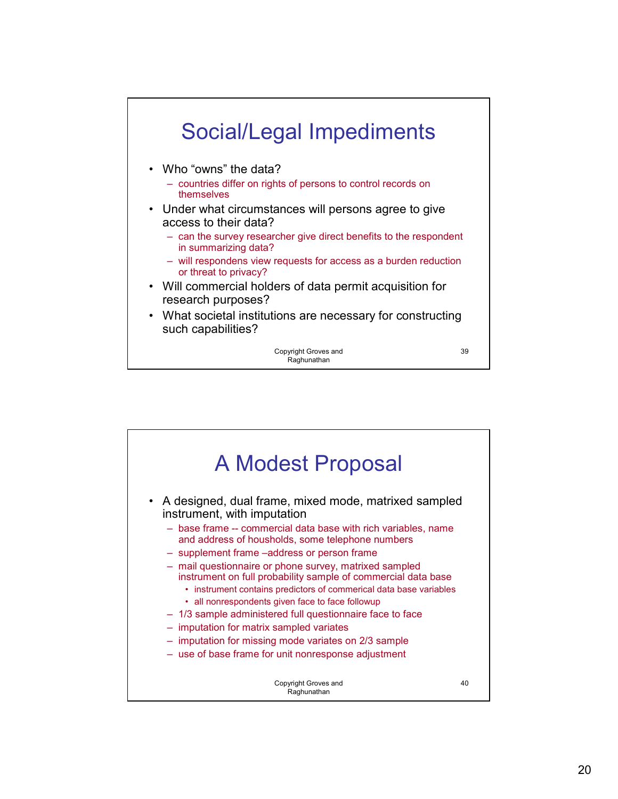